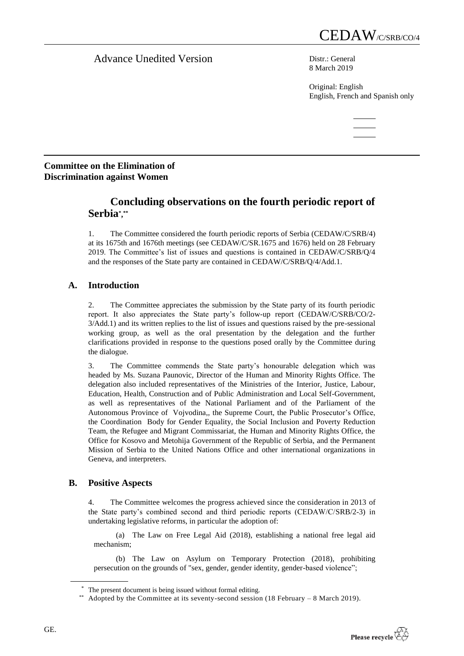# Advance Unedited Version Distression

8 March 2019

Original: English English, French and Spanish only

## **Committee on the Elimination of Discrimination against Women**

# **Concluding observations on the fourth periodic report of Serbia\* , \*\***

1. The Committee considered the fourth periodic reports of Serbia (CEDAW/C/SRB/4) at its 1675th and 1676th meetings (see CEDAW/C/SR.1675 and 1676) held on 28 February 2019. The Committee's list of issues and questions is contained in CEDAW/C/SRB/Q/4 and the responses of the State party are contained in CEDAW/C/SRB/Q/4/Add.1.

# **A. Introduction**

2. The Committee appreciates the submission by the State party of its fourth periodic report. It also appreciates the State party's follow-up report (CEDAW/C/SRB/CO/2- 3/Add.1) and its written replies to the list of issues and questions raised by the pre-sessional working group, as well as the oral presentation by the delegation and the further clarifications provided in response to the questions posed orally by the Committee during the dialogue.

3. The Committee commends the State party's honourable delegation which was headed by Ms. Suzana Paunovic, Director of the Human and Minority Rights Office. The delegation also included representatives of the Ministries of the Interior, Justice, Labour, Education, Health, Construction and of Public Administration and Local Self-Government, as well as representatives of the National Parliament and of the Parliament of the Autonomous Province of Vojvodina,, the Supreme Court, the Public Prosecutor's Office, the Coordination Body for Gender Equality, the Social Inclusion and Poverty Reduction Team, the Refugee and Migrant Commissariat, the Human and Minority Rights Office, the Office for Kosovo and Metohija Government of the Republic of Serbia, and the Permanent Mission of Serbia to the United Nations Office and other international organizations in Geneva, and interpreters.

## **B. Positive Aspects**

4. The Committee welcomes the progress achieved since the consideration in 2013 of the State party's combined second and third periodic reports (CEDAW/C[/SRB/](http://undocs.org/CEDAW/C/BEN/1)2-3) in undertaking legislative reforms, in particular the adoption of:

(a) The Law on Free Legal Aid (2018), establishing a national free legal aid mechanism;

(b) The Law on Asylum on Temporary Protection (2018), prohibiting persecution on the grounds of "sex, gender, gender identity, gender-based violence";

<sup>\*</sup> The present document is being issued without formal editing.

<sup>\*\*</sup> Adopted by the Committee at its seventy-second session (18 February – 8 March 2019).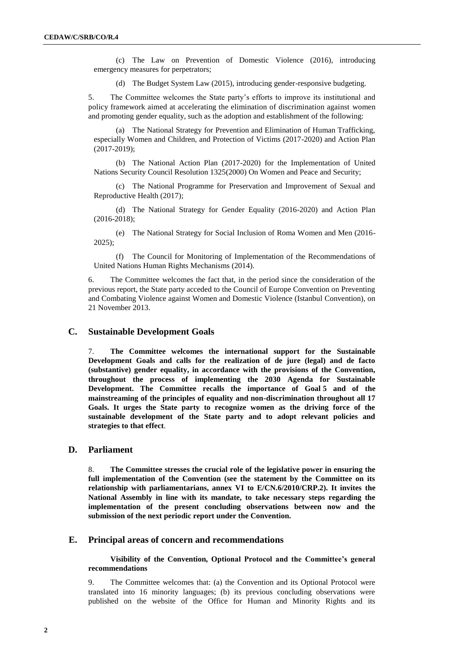(c) The Law on Prevention of Domestic Violence (2016), introducing emergency measures for perpetrators;

(d) The Budget System Law (2015), introducing gender-responsive budgeting.

5. The Committee welcomes the State party's efforts to improve its institutional and policy framework aimed at accelerating the elimination of discrimination against women and promoting gender equality, such as the adoption and establishment of the following:

(a) The National Strategy for Prevention and Elimination of Human Trafficking, especially Women and Children, and Protection of Victims (2017-2020) and Action Plan (2017-2019);

(b) The National Action Plan (2017-2020) for the Implementation of United Nations Security Council Resolution 1325(2000) On Women and Peace and Security;

(c) The National Programme for Preservation and Improvement of Sexual and Reproductive Health (2017);

(d) The National Strategy for Gender Equality (2016-2020) and Action Plan (2016-2018);

(e) The National Strategy for Social Inclusion of Roma Women and Men (2016- 2025);

(f) The Council for Monitoring of Implementation of the Recommendations of United Nations Human Rights Mechanisms (2014).

6. The Committee welcomes the fact that, in the period since the consideration of the previous report, the State party acceded to the Council of Europe Convention on Preventing and Combating Violence against Women and Domestic Violence (Istanbul Convention), on 21 November 2013.

## **C. Sustainable Development Goals**

7. **The Committee welcomes the international support for the Sustainable Development Goals and calls for the realization of de jure (legal) and de facto (substantive) gender equality, in accordance with the provisions of the Convention, throughout the process of implementing the 2030 Agenda for Sustainable Development. The Committee recalls the importance of Goal 5 and of the mainstreaming of the principles of equality and non-discrimination throughout all 17 Goals. It urges the State party to recognize women as the driving force of the sustainable development of the State party and to adopt relevant policies and strategies to that effect**.

## **D. Parliament**

8. **The Committee stresses the crucial role of the legislative power in ensuring the full implementation of the Convention (see the statement by the Committee on its relationship with parliamentarians, annex VI to E/CN.6/2010/CRP.2). It invites the National Assembly in line with its mandate, to take necessary steps regarding the implementation of the present concluding observations between now and the submission of the next periodic report under the Convention.**

### **E. Principal areas of concern and recommendations**

**Visibility of the Convention, Optional Protocol and the Committee's general recommendations**

9. The Committee welcomes that: (a) the Convention and its Optional Protocol were translated into 16 minority languages; (b) its previous concluding observations were published on the website of the Office for Human and Minority Rights and its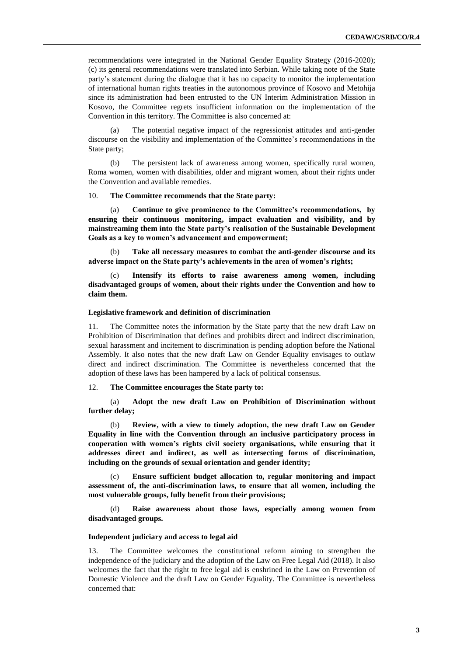recommendations were integrated in the National Gender Equality Strategy (2016-2020); (c) its general recommendations were translated into Serbian. While taking note of the State party's statement during the dialogue that it has no capacity to monitor the implementation of international human rights treaties in the autonomous province of Kosovo and Metohija since its administration had been entrusted to the UN Interim Administration Mission in Kosovo, the Committee regrets insufficient information on the implementation of the Convention in this territory. The Committee is also concerned at:

(a) The potential negative impact of the regressionist attitudes and anti-gender discourse on the visibility and implementation of the Committee's recommendations in the State party;

(b) The persistent lack of awareness among women, specifically rural women, Roma women, women with disabilities, older and migrant women, about their rights under the Convention and available remedies.

#### 10. **The Committee recommends that the State party:**

(a) **Continue to give prominence to the Committee's recommendations, by ensuring their continuous monitoring, impact evaluation and visibility, and by mainstreaming them into the State party's realisation of the Sustainable Development Goals as a key to women's advancement and empowerment;** 

(b) **Take all necessary measures to combat the anti-gender discourse and its adverse impact on the State party's achievements in the area of women's rights;**

(c) **Intensify its efforts to raise awareness among women, including disadvantaged groups of women, about their rights under the Convention and how to claim them.**

#### **Legislative framework and definition of discrimination**

11. The Committee notes the information by the State party that the new draft Law on Prohibition of Discrimination that defines and prohibits direct and indirect discrimination, sexual harassment and incitement to discrimination is pending adoption before the National Assembly. It also notes that the new draft Law on Gender Equality envisages to outlaw direct and indirect discrimination. The Committee is nevertheless concerned that the adoption of these laws has been hampered by a lack of political consensus.

#### 12. **The Committee encourages the State party to:**

## (a) **Adopt the new draft Law on Prohibition of Discrimination without further delay;**

(b) **Review, with a view to timely adoption, the new draft Law on Gender Equality in line with the Convention through an inclusive participatory process in cooperation with women's rights civil society organisations, while ensuring that it addresses direct and indirect, as well as intersecting forms of discrimination, including on the grounds of sexual orientation and gender identity;**

(c) **Ensure sufficient budget allocation to, regular monitoring and impact assessment of, the anti-discrimination laws, to ensure that all women, including the most vulnerable groups, fully benefit from their provisions;**

(d) **Raise awareness about those laws, especially among women from disadvantaged groups.**

#### **Independent judiciary and access to legal aid**

13. The Committee welcomes the constitutional reform aiming to strengthen the independence of the judiciary and the adoption of the Law on Free Legal Aid (2018). It also welcomes the fact that the right to free legal aid is enshrined in the Law on Prevention of Domestic Violence and the draft Law on Gender Equality. The Committee is nevertheless concerned that: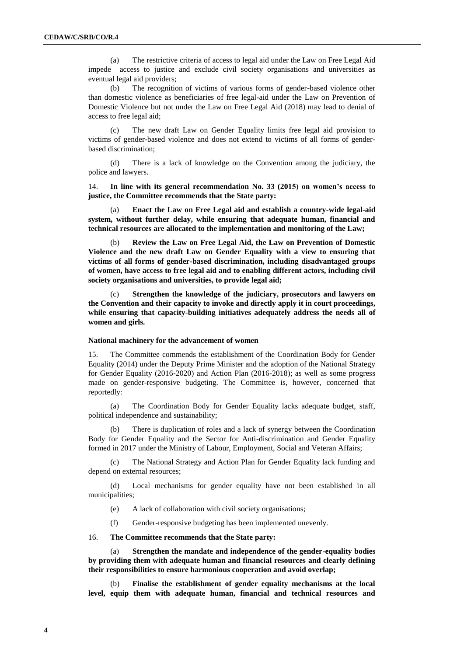(a) The restrictive criteria of access to legal aid under the Law on Free Legal Aid impede access to justice and exclude civil society organisations and universities as eventual legal aid providers;

(b) The recognition of victims of various forms of gender-based violence other than domestic violence as beneficiaries of free legal-aid under the Law on Prevention of Domestic Violence but not under the Law on Free Legal Aid (2018) may lead to denial of access to free legal aid;

(c) The new draft Law on Gender Equality limits free legal aid provision to victims of gender-based violence and does not extend to victims of all forms of genderbased discrimination;

(d) There is a lack of knowledge on the Convention among the judiciary, the police and lawyers.

14. **In line with its general recommendation No. 33 (2015) on women's access to justice, the Committee recommends that the State party:**

(a) **Enact the Law on Free Legal aid and establish a country-wide legal-aid system, without further delay, while ensuring that adequate human, financial and technical resources are allocated to the implementation and monitoring of the Law;**

(b) **Review the Law on Free Legal Aid, the Law on Prevention of Domestic Violence and the new draft Law on Gender Equality with a view to ensuring that victims of all forms of gender-based discrimination, including disadvantaged groups of women, have access to free legal aid and to enabling different actors, including civil society organisations and universities, to provide legal aid;**

Strengthen the knowledge of the judiciary, prosecutors and lawyers on **the Convention and their capacity to invoke and directly apply it in court proceedings, while ensuring that capacity-building initiatives adequately address the needs all of women and girls.**

#### **National machinery for the advancement of women**

15. The Committee commends the establishment of the Coordination Body for Gender Equality (2014) under the Deputy Prime Minister and the adoption of the National Strategy for Gender Equality (2016-2020) and Action Plan (2016-2018); as well as some progress made on gender-responsive budgeting. The Committee is, however, concerned that reportedly:

(a) The Coordination Body for Gender Equality lacks adequate budget, staff, political independence and sustainability;

(b) There is duplication of roles and a lack of synergy between the Coordination Body for Gender Equality and the Sector for Anti-discrimination and Gender Equality formed in 2017 under the Ministry of Labour, Employment, Social and Veteran Affairs;

(c) The National Strategy and Action Plan for Gender Equality lack funding and depend on external resources;

(d) Local mechanisms for gender equality have not been established in all municipalities;

(e) A lack of collaboration with civil society organisations;

(f) Gender-responsive budgeting has been implemented unevenly.

16. **The Committee recommends that the State party:**

(a) **Strengthen the mandate and independence of the gender-equality bodies by providing them with adequate human and financial resources and clearly defining their responsibilities to ensure harmonious cooperation and avoid overlap;** 

(b) **Finalise the establishment of gender equality mechanisms at the local level, equip them with adequate human, financial and technical resources and**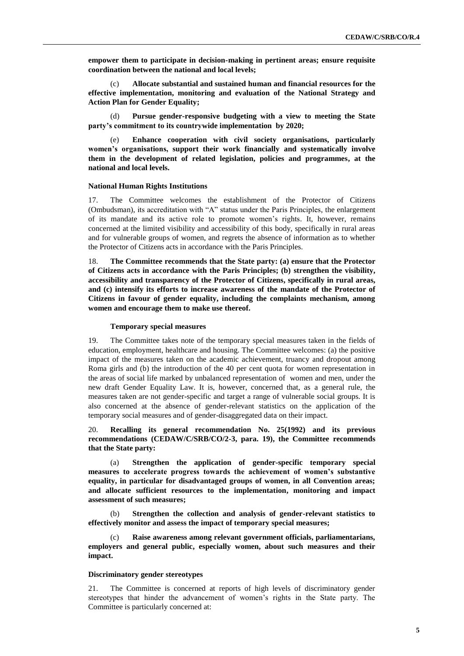**empower them to participate in decision-making in pertinent areas; ensure requisite coordination between the national and local levels;** 

(c) **Allocate substantial and sustained human and financial resources for the effective implementation, monitoring and evaluation of the National Strategy and Action Plan for Gender Equality;**

(d) **Pursue gender-responsive budgeting with a view to meeting the State party's commitment to its countrywide implementation by 2020;**

(e) **Enhance cooperation with civil society organisations, particularly women's organisations, support their work financially and systematically involve them in the development of related legislation, policies and programmes, at the national and local levels.**

#### **National Human Rights Institutions**

17. The Committee welcomes the establishment of the Protector of Citizens (Ombudsman), its accreditation with "A" status under the Paris Principles, the enlargement of its mandate and its active role to promote women's rights. It, however, remains concerned at the limited visibility and accessibility of this body, specifically in rural areas and for vulnerable groups of women, and regrets the absence of information as to whether the Protector of Citizens acts in accordance with the Paris Principles.

18. **The Committee recommends that the State party: (a) ensure that the Protector of Citizens acts in accordance with the Paris Principles; (b) strengthen the visibility, accessibility and transparency of the Protector of Citizens, specifically in rural areas, and (c) intensify its efforts to increase awareness of the mandate of the Protector of Citizens in favour of gender equality, including the complaints mechanism, among women and encourage them to make use thereof.** 

#### **Temporary special measures**

19. The Committee takes note of the temporary special measures taken in the fields of education, employment, healthcare and housing. The Committee welcomes: (a) the positive impact of the measures taken on the academic achievement, truancy and dropout among Roma girls and (b) the introduction of the 40 per cent quota for women representation in the areas of social life marked by unbalanced representation of women and men, under the new draft Gender Equality Law. It is, however, concerned that, as a general rule, the measures taken are not gender-specific and target a range of vulnerable social groups. It is also concerned at the absence of gender-relevant statistics on the application of the temporary social measures and of gender-disaggregated data on their impact.

## 20. **Recalling its general recommendation No. 25(1992) and its previous recommendations (CEDAW/C/SRB/CO/2-3, para. 19), the Committee recommends that the State party:**

(a) **Strengthen the application of gender-specific temporary special measures to accelerate progress towards the achievement of women's substantive equality, in particular for disadvantaged groups of women, in all Convention areas; and allocate sufficient resources to the implementation, monitoring and impact assessment of such measures;**

(b) **Strengthen the collection and analysis of gender-relevant statistics to effectively monitor and assess the impact of temporary special measures;**

(c) **Raise awareness among relevant government officials, parliamentarians, employers and general public, especially women, about such measures and their impact.**

#### **Discriminatory gender stereotypes**

21. The Committee is concerned at reports of high levels of discriminatory gender stereotypes that hinder the advancement of women's rights in the State party. The Committee is particularly concerned at: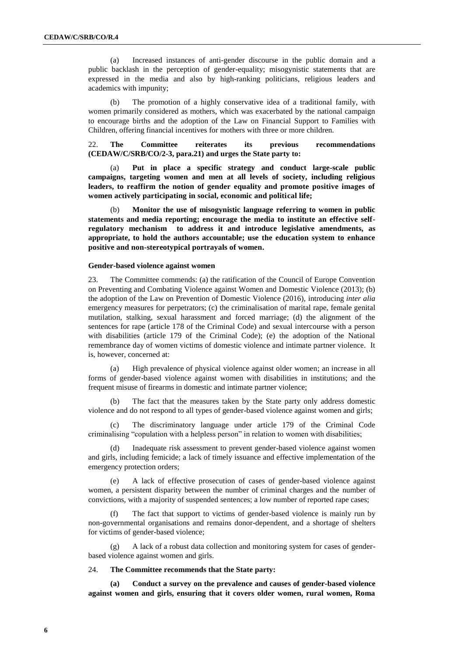(a) Increased instances of anti-gender discourse in the public domain and a public backlash in the perception of gender-equality; misogynistic statements that are expressed in the media and also by high-ranking politicians, religious leaders and academics with impunity;

(b) The promotion of a highly conservative idea of a traditional family, with women primarily considered as mothers, which was exacerbated by the national campaign to encourage births and the adoption of the Law on Financial Support to Families with Children, offering financial incentives for mothers with three or more children.

22. **The Committee reiterates its previous recommendations (CEDAW/C/SRB/CO/2-3, para.21) and urges the State party to:**

Put in place a specific strategy and conduct large-scale public **campaigns, targeting women and men at all levels of society, including religious leaders, to reaffirm the notion of gender equality and promote positive images of women actively participating in social, economic and political life;**

(b) **Monitor the use of misogynistic language referring to women in public statements and media reporting; encourage the media to institute an effective selfregulatory mechanism to address it and introduce legislative amendments, as appropriate, to hold the authors accountable; use the education system to enhance positive and non-stereotypical portrayals of women.**

#### **Gender-based violence against women**

23. The Committee commends: (a) the ratification of the Council of Europe Convention on Preventing and Combating Violence against Women and Domestic Violence (2013); (b) the adoption of the Law on Prevention of Domestic Violence (2016), introducing *inter alia* emergency measures for perpetrators; (c) the criminalisation of marital rape, female genital mutilation, stalking, sexual harassment and forced marriage; (d) the alignment of the sentences for rape (article 178 of the Criminal Code) and sexual intercourse with a person with disabilities (article 179 of the Criminal Code); (e) the adoption of the National remembrance day of women victims of domestic violence and intimate partner violence. It is, however, concerned at:

(a) High prevalence of physical violence against older women; an increase in all forms of gender-based violence against women with disabilities in institutions; and the frequent misuse of firearms in domestic and intimate partner violence;

(b) The fact that the measures taken by the State party only address domestic violence and do not respond to all types of gender-based violence against women and girls;

(c) The discriminatory language under article 179 of the Criminal Code criminalising "copulation with a helpless person" in relation to women with disabilities;

Inadequate risk assessment to prevent gender-based violence against women and girls, including femicide; a lack of timely issuance and effective implementation of the emergency protection orders;

(e) A lack of effective prosecution of cases of gender-based violence against women, a persistent disparity between the number of criminal charges and the number of convictions, with a majority of suspended sentences; a low number of reported rape cases;

The fact that support to victims of gender-based violence is mainly run by non-governmental organisations and remains donor-dependent, and a shortage of shelters for victims of gender-based violence;

(g) A lack of a robust data collection and monitoring system for cases of genderbased violence against women and girls.

#### 24. **The Committee recommends that the State party:**

**(a) Conduct a survey on the prevalence and causes of gender-based violence against women and girls, ensuring that it covers older women, rural women, Roma**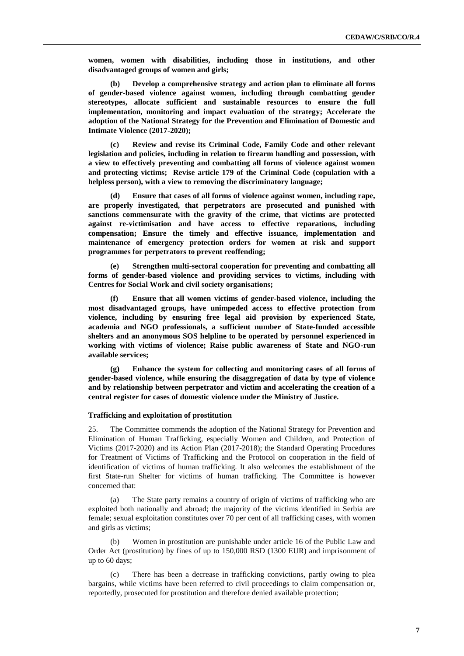**women, women with disabilities, including those in institutions, and other disadvantaged groups of women and girls;**

**(b) Develop a comprehensive strategy and action plan to eliminate all forms of gender-based violence against women, including through combatting gender stereotypes, allocate sufficient and sustainable resources to ensure the full implementation, monitoring and impact evaluation of the strategy; Accelerate the adoption of the National Strategy for the Prevention and Elimination of Domestic and Intimate Violence (2017-2020);**

**(c) Review and revise its Criminal Code, Family Code and other relevant legislation and policies, including in relation to firearm handling and possession, with a view to effectively preventing and combatting all forms of violence against women and protecting victims; Revise article 179 of the Criminal Code (copulation with a helpless person), with a view to removing the discriminatory language;** 

**(d) Ensure that cases of all forms of violence against women, including rape, are properly investigated, that perpetrators are prosecuted and punished with sanctions commensurate with the gravity of the crime, that victims are protected against re-victimisation and have access to effective reparations, including compensation; Ensure the timely and effective issuance, implementation and maintenance of emergency protection orders for women at risk and support programmes for perpetrators to prevent reoffending;**

**(e) Strengthen multi-sectoral cooperation for preventing and combatting all forms of gender-based violence and providing services to victims, including with Centres for Social Work and civil society organisations;**

**(f) Ensure that all women victims of gender-based violence, including the most disadvantaged groups, have unimpeded access to effective protection from violence, including by ensuring free legal aid provision by experienced State, academia and NGO professionals, a sufficient number of State-funded accessible shelters and an anonymous SOS helpline to be operated by personnel experienced in working with victims of violence; Raise public awareness of State and NGO-run available services;**

**(g) Enhance the system for collecting and monitoring cases of all forms of gender-based violence, while ensuring the disaggregation of data by type of violence and by relationship between perpetrator and victim and accelerating the creation of a central register for cases of domestic violence under the Ministry of Justice.**

#### **Trafficking and exploitation of prostitution**

25. The Committee commends the adoption of the National Strategy for Prevention and Elimination of Human Trafficking, especially Women and Children, and Protection of Victims (2017-2020) and its Action Plan (2017-2018); the Standard Operating Procedures for Treatment of Victims of Trafficking and the Protocol on cooperation in the field of identification of victims of human trafficking. It also welcomes the establishment of the first State-run Shelter for victims of human trafficking. The Committee is however concerned that:

(a) The State party remains a country of origin of victims of trafficking who are exploited both nationally and abroad; the majority of the victims identified in Serbia are female; sexual exploitation constitutes over 70 per cent of all trafficking cases, with women and girls as victims;

Women in prostitution are punishable under article 16 of the Public Law and Order Act (prostitution) by fines of up to 150,000 RSD (1300 EUR) and imprisonment of up to 60 days;

There has been a decrease in trafficking convictions, partly owing to plea bargains, while victims have been referred to civil proceedings to claim compensation or, reportedly, prosecuted for prostitution and therefore denied available protection;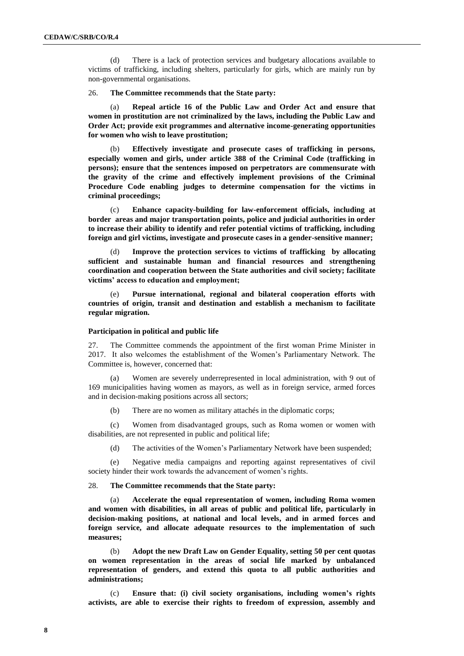(d) There is a lack of protection services and budgetary allocations available to victims of trafficking, including shelters, particularly for girls, which are mainly run by non-governmental organisations.

#### 26. **The Committee recommends that the State party:**

(a) **Repeal article 16 of the Public Law and Order Act and ensure that women in prostitution are not criminalized by the laws, including the Public Law and Order Act; provide exit programmes and alternative income-generating opportunities for women who wish to leave prostitution;**

(b) **Effectively investigate and prosecute cases of trafficking in persons, especially women and girls, under article 388 of the Criminal Code (trafficking in persons); ensure that the sentences imposed on perpetrators are commensurate with the gravity of the crime and effectively implement provisions of the Criminal Procedure Code enabling judges to determine compensation for the victims in criminal proceedings;** 

(c) **Enhance capacity-building for law-enforcement officials, including at border areas and major transportation points, police and judicial authorities in order to increase their ability to identify and refer potential victims of trafficking, including foreign and girl victims, investigate and prosecute cases in a gender-sensitive manner;**

(d) **Improve the protection services to victims of trafficking by allocating sufficient and sustainable human and financial resources and strengthening coordination and cooperation between the State authorities and civil society; facilitate victims' access to education and employment;** 

(e) **Pursue international, regional and bilateral cooperation efforts with countries of origin, transit and destination and establish a mechanism to facilitate regular migration.**

#### **Participation in political and public life**

27. The Committee commends the appointment of the first woman Prime Minister in 2017. It also welcomes the establishment of the Women's Parliamentary Network. The Committee is, however, concerned that:

(a) Women are severely underrepresented in local administration, with 9 out of 169 municipalities having women as mayors, as well as in foreign service, armed forces and in decision-making positions across all sectors;

(b) There are no women as military attachés in the diplomatic corps;

(c) Women from disadvantaged groups, such as Roma women or women with disabilities, are not represented in public and political life;

(d) The activities of the Women's Parliamentary Network have been suspended;

(e) Negative media campaigns and reporting against representatives of civil society hinder their work towards the advancement of women's rights.

#### 28. **The Committee recommends that the State party:**

(a) **Accelerate the equal representation of women, including Roma women and women with disabilities, in all areas of public and political life, particularly in decision-making positions, at national and local levels, and in armed forces and foreign service, and allocate adequate resources to the implementation of such measures;** 

(b) **Adopt the new Draft Law on Gender Equality, setting 50 per cent quotas on women representation in the areas of social life marked by unbalanced representation of genders, and extend this quota to all public authorities and administrations;** 

(c) **Ensure that: (i) civil society organisations, including women's rights activists, are able to exercise their rights to freedom of expression, assembly and**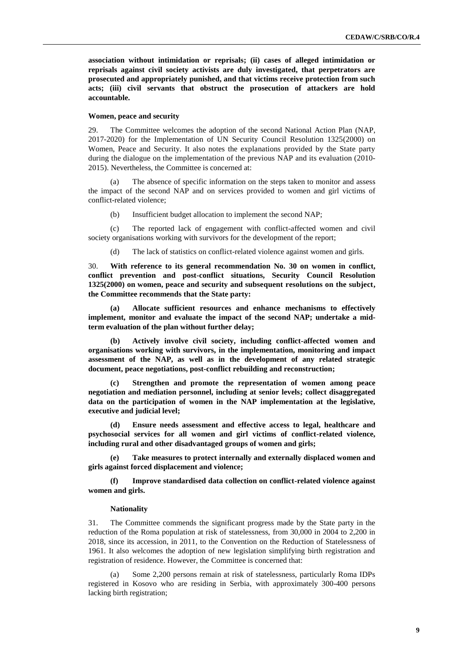**association without intimidation or reprisals; (ii) cases of alleged intimidation or reprisals against civil society activists are duly investigated, that perpetrators are prosecuted and appropriately punished, and that victims receive protection from such acts; (iii) civil servants that obstruct the prosecution of attackers are hold accountable.** 

#### **Women, peace and security**

29. The Committee welcomes the adoption of the second National Action Plan (NAP, 2017-2020) for the Implementation of UN Security Council Resolution 1325(2000) on Women, Peace and Security. It also notes the explanations provided by the State party during the dialogue on the implementation of the previous NAP and its evaluation (2010- 2015). Nevertheless, the Committee is concerned at:

The absence of specific information on the steps taken to monitor and assess the impact of the second NAP and on services provided to women and girl victims of conflict-related violence;

(b) Insufficient budget allocation to implement the second NAP;

(c) The reported lack of engagement with conflict-affected women and civil society organisations working with survivors for the development of the report;

(d) The lack of statistics on conflict-related violence against women and girls.

30. **With reference to its general recommendation No. 30 on women in conflict, conflict prevention and post-conflict situations, Security Council Resolution 1325(2000) on women, peace and security and subsequent resolutions on the subject, the Committee recommends that the State party:**

**(a) Allocate sufficient resources and enhance mechanisms to effectively implement, monitor and evaluate the impact of the second NAP; undertake a midterm evaluation of the plan without further delay;**

**(b) Actively involve civil society, including conflict-affected women and organisations working with survivors, in the implementation, monitoring and impact assessment of the NAP, as well as in the development of any related strategic document, peace negotiations, post-conflict rebuilding and reconstruction;** 

**(c) Strengthen and promote the representation of women among peace negotiation and mediation personnel, including at senior levels; collect disaggregated data on the participation of women in the NAP implementation at the legislative, executive and judicial level;**

**(d) Ensure needs assessment and effective access to legal, healthcare and psychosocial services for all women and girl victims of conflict-related violence, including rural and other disadvantaged groups of women and girls;**

**(e) Take measures to protect internally and externally displaced women and girls against forced displacement and violence;**

**(f) Improve standardised data collection on conflict-related violence against women and girls.**

#### **Nationality**

31. The Committee commends the significant progress made by the State party in the reduction of the Roma population at risk of statelessness, from 30,000 in 2004 to 2,200 in 2018, since its accession, in 2011, to the Convention on the Reduction of Statelessness of 1961. It also welcomes the adoption of new legislation simplifying birth registration and registration of residence. However, the Committee is concerned that:

Some 2,200 persons remain at risk of statelessness, particularly Roma IDPs registered in Kosovo who are residing in Serbia, with approximately 300-400 persons lacking birth registration;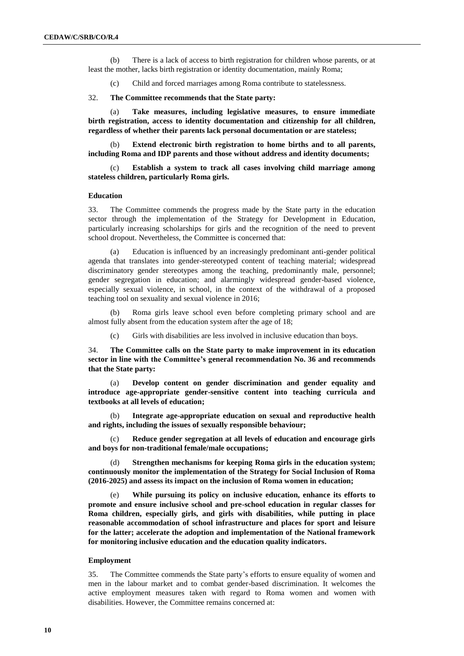(b) There is a lack of access to birth registration for children whose parents, or at least the mother, lacks birth registration or identity documentation, mainly Roma;

(c) Child and forced marriages among Roma contribute to statelessness.

32. **The Committee recommends that the State party:**

(a) **Take measures, including legislative measures, to ensure immediate birth registration, access to identity documentation and citizenship for all children, regardless of whether their parents lack personal documentation or are stateless;** 

(b) **Extend electronic birth registration to home births and to all parents, including Roma and IDP parents and those without address and identity documents;**

Establish a system to track all cases involving child marriage among **stateless children, particularly Roma girls.**

#### **Education**

33. The Committee commends the progress made by the State party in the education sector through the implementation of the Strategy for Development in Education, particularly increasing scholarships for girls and the recognition of the need to prevent school dropout. Nevertheless, the Committee is concerned that:

(a) Education is influenced by an increasingly predominant anti-gender political agenda that translates into gender-stereotyped content of teaching material; widespread discriminatory gender stereotypes among the teaching, predominantly male, personnel; gender segregation in education; and alarmingly widespread gender-based violence, especially sexual violence, in school, in the context of the withdrawal of a proposed teaching tool on sexuality and sexual violence in 2016;

Roma girls leave school even before completing primary school and are almost fully absent from the education system after the age of 18;

(c) Girls with disabilities are less involved in inclusive education than boys.

34. **The Committee calls on the State party to make improvement in its education sector in line with the Committee's general recommendation No. 36 and recommends that the State party:**

(a) **Develop content on gender discrimination and gender equality and introduce age-appropriate gender-sensitive content into teaching curricula and textbooks at all levels of education;**

(b) **Integrate age-appropriate education on sexual and reproductive health and rights, including the issues of sexually responsible behaviour;**

(c) **Reduce gender segregation at all levels of education and encourage girls and boys for non-traditional female/male occupations;**

(d) **Strengthen mechanisms for keeping Roma girls in the education system; continuously monitor the implementation of the Strategy for Social Inclusion of Roma (2016-2025) and assess its impact on the inclusion of Roma women in education;**

(e) **While pursuing its policy on inclusive education, enhance its efforts to promote and ensure inclusive school and pre-school education in regular classes for Roma children, especially girls, and girls with disabilities, while putting in place reasonable accommodation of school infrastructure and places for sport and leisure for the latter; accelerate the adoption and implementation of the National framework for monitoring inclusive education and the education quality indicators.**

#### **Employment**

35. The Committee commends the State party's efforts to ensure equality of women and men in the labour market and to combat gender-based discrimination. It welcomes the active employment measures taken with regard to Roma women and women with disabilities. However, the Committee remains concerned at: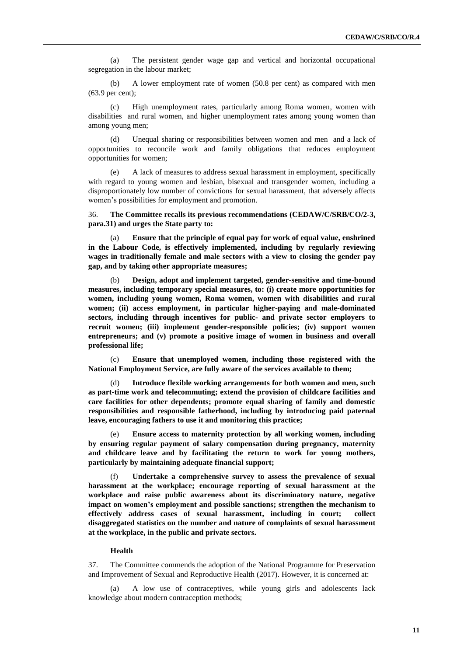(a) The persistent gender wage gap and vertical and horizontal occupational segregation in the labour market;

(b) A lower employment rate of women (50.8 per cent) as compared with men (63.9 per cent);

(c) High unemployment rates, particularly among Roma women, women with disabilities and rural women, and higher unemployment rates among young women than among young men;

(d) Unequal sharing or responsibilities between women and men and a lack of opportunities to reconcile work and family obligations that reduces employment opportunities for women;

(e) A lack of measures to address sexual harassment in employment, specifically with regard to young women and lesbian, bisexual and transgender women, including a disproportionately low number of convictions for sexual harassment, that adversely affects women's possibilities for employment and promotion.

36. **The Committee recalls its previous recommendations (CEDAW/C/SRB/CO/2-3, para.31) and urges the State party to:**

(a) **Ensure that the principle of equal pay for work of equal value, enshrined in the Labour Code, is effectively implemented, including by regularly reviewing wages in traditionally female and male sectors with a view to closing the gender pay gap, and by taking other appropriate measures;**

(b) **Design, adopt and implement targeted, gender-sensitive and time-bound measures, including temporary special measures, to: (i) create more opportunities for women, including young women, Roma women, women with disabilities and rural women; (ii) access employment, in particular higher-paying and male-dominated sectors, including through incentives for public- and private sector employers to recruit women; (iii) implement gender-responsible policies; (iv) support women entrepreneurs; and (v) promote a positive image of women in business and overall professional life;**

(c) **Ensure that unemployed women, including those registered with the National Employment Service, are fully aware of the services available to them;** 

(d) **Introduce flexible working arrangements for both women and men, such as part-time work and telecommuting; extend the provision of childcare facilities and care facilities for other dependents; promote equal sharing of family and domestic responsibilities and responsible fatherhood, including by introducing paid paternal leave, encouraging fathers to use it and monitoring this practice;**

Ensure access to maternity protection by all working women, including **by ensuring regular payment of salary compensation during pregnancy, maternity and childcare leave and by facilitating the return to work for young mothers, particularly by maintaining adequate financial support;** 

(f) **Undertake a comprehensive survey to assess the prevalence of sexual harassment at the workplace; encourage reporting of sexual harassment at the workplace and raise public awareness about its discriminatory nature, negative impact on women's employment and possible sanctions; strengthen the mechanism to effectively address cases of sexual harassment, including in court; collect disaggregated statistics on the number and nature of complaints of sexual harassment at the workplace, in the public and private sectors.**

#### **Health**

37. The Committee commends the adoption of the National Programme for Preservation and Improvement of Sexual and Reproductive Health (2017). However, it is concerned at:

(a) A low use of contraceptives, while young girls and adolescents lack knowledge about modern contraception methods;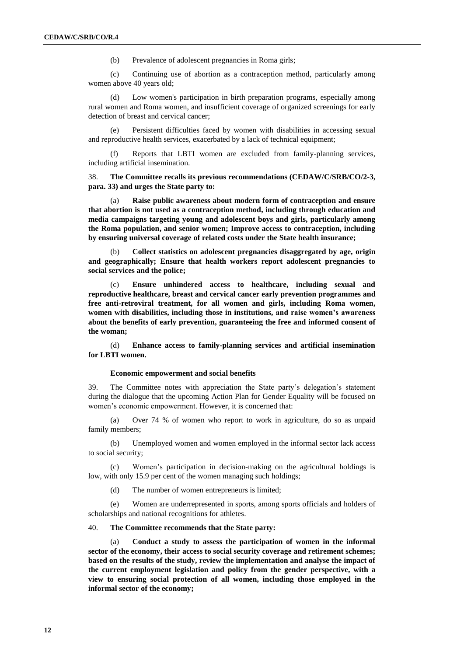(b) Prevalence of adolescent pregnancies in Roma girls;

(c) Continuing use of abortion as a contraception method, particularly among women above 40 years old;

(d) Low women's participation in birth preparation programs, especially among rural women and Roma women, and insufficient coverage of organized screenings for early detection of breast and cervical cancer;

(e) Persistent difficulties faced by women with disabilities in accessing sexual and reproductive health services, exacerbated by a lack of technical equipment;

(f) Reports that LBTI women are excluded from family-planning services, including artificial insemination.

38. **The Committee recalls its previous recommendations (CEDAW/C/SRB/CO/2-3, para. 33) and urges the State party to:**

(a) **Raise public awareness about modern form of contraception and ensure that abortion is not used as a contraception method, including through education and media campaigns targeting young and adolescent boys and girls, particularly among the Roma population, and senior women; Improve access to contraception, including by ensuring universal coverage of related costs under the State health insurance;** 

(b) **Collect statistics on adolescent pregnancies disaggregated by age, origin and geographically; Ensure that health workers report adolescent pregnancies to social services and the police;** 

(c) **Ensure unhindered access to healthcare, including sexual and reproductive healthcare, breast and cervical cancer early prevention programmes and free anti-retroviral treatment, for all women and girls, including Roma women, women with disabilities, including those in institutions, and raise women's awareness about the benefits of early prevention, guaranteeing the free and informed consent of the woman;**

(d) **Enhance access to family-planning services and artificial insemination for LBTI women.**

#### **Economic empowerment and social benefits**

39. The Committee notes with appreciation the State party's delegation's statement during the dialogue that the upcoming Action Plan for Gender Equality will be focused on women's economic empowerment. However, it is concerned that:

(a) Over 74 % of women who report to work in agriculture, do so as unpaid family members;

(b) Unemployed women and women employed in the informal sector lack access to social security;

(c) Women's participation in decision-making on the agricultural holdings is low, with only 15.9 per cent of the women managing such holdings;

(d) The number of women entrepreneurs is limited;

(e) Women are underrepresented in sports, among sports officials and holders of scholarships and national recognitions for athletes.

### 40. **The Committee recommends that the State party:**

(a) **Conduct a study to assess the participation of women in the informal sector of the economy, their access to social security coverage and retirement schemes; based on the results of the study, review the implementation and analyse the impact of the current employment legislation and policy from the gender perspective, with a view to ensuring social protection of all women, including those employed in the informal sector of the economy;**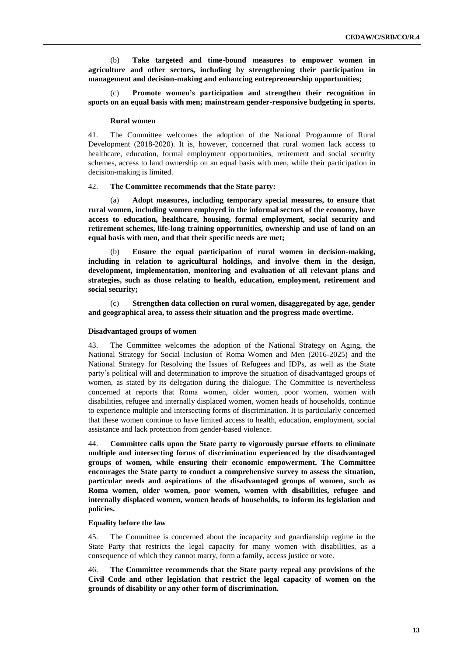(b) **Take targeted and time-bound measures to empower women in agriculture and other sectors, including by strengthening their participation in management and decision-making and enhancing entrepreneurship opportunities;**

(c) **Promote women's participation and strengthen their recognition in sports on an equal basis with men; mainstream gender-responsive budgeting in sports.**

#### **Rural women**

41. The Committee welcomes the adoption of the National Programme of Rural Development (2018-2020). It is, however, concerned that rural women lack access to healthcare, education, formal employment opportunities, retirement and social security schemes, access to land ownership on an equal basis with men, while their participation in decision-making is limited.

#### 42. **The Committee recommends that the State party:**

(a) **Adopt measures, including temporary special measures, to ensure that rural women, including women employed in the informal sectors of the economy, have access to education, healthcare, housing, formal employment, social security and retirement schemes, life-long training opportunities, ownership and use of land on an equal basis with men, and that their specific needs are met;**

(b) **Ensure the equal participation of rural women in decision-making, including in relation to agricultural holdings, and involve them in the design, development, implementation, monitoring and evaluation of all relevant plans and strategies, such as those relating to health, education, employment, retirement and social security;**

(c) **Strengthen data collection on rural women, disaggregated by age, gender and geographical area, to assess their situation and the progress made overtime.** 

#### **Disadvantaged groups of women**

43. The Committee welcomes the adoption of the National Strategy on Aging, the National Strategy for Social Inclusion of Roma Women and Men (2016-2025) and the National Strategy for Resolving the Issues of Refugees and IDPs, as well as the State party's political will and determination to improve the situation of disadvantaged groups of women, as stated by its delegation during the dialogue. The Committee is nevertheless concerned at reports that Roma women, older women, poor women, women with disabilities, refugee and internally displaced women, women heads of households, continue to experience multiple and intersecting forms of discrimination. It is particularly concerned that these women continue to have limited access to health, education, employment, social assistance and lack protection from gender-based violence.

44. **Committee calls upon the State party to vigorously pursue efforts to eliminate multiple and intersecting forms of discrimination experienced by the disadvantaged groups of women, while ensuring their economic empowerment. The Committee encourages the State party to conduct a comprehensive survey to assess the situation, particular needs and aspirations of the disadvantaged groups of women, such as Roma women, older women, poor women, women with disabilities, refugee and internally displaced women, women heads of households, to inform its legislation and policies.**

### **Equality before the law**

45. The Committee is concerned about the incapacity and guardianship regime in the State Party that restricts the legal capacity for many women with disabilities, as a consequence of which they cannot marry, form a family, access justice or vote.

46. **The Committee recommends that the State party repeal any provisions of the Civil Code and other legislation that restrict the legal capacity of women on the grounds of disability or any other form of discrimination.**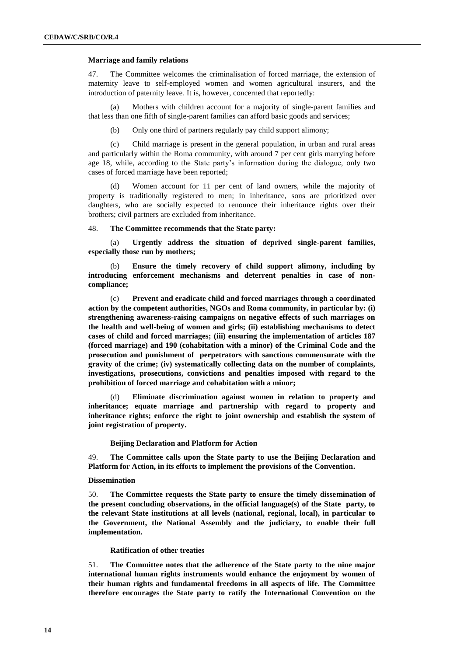#### **Marriage and family relations**

47. The Committee welcomes the criminalisation of forced marriage, the extension of maternity leave to self-employed women and women agricultural insurers, and the introduction of paternity leave. It is, however, concerned that reportedly:

(a) Mothers with children account for a majority of single-parent families and that less than one fifth of single-parent families can afford basic goods and services;

(b) Only one third of partners regularly pay child support alimony;

(c) Child marriage is present in the general population, in urban and rural areas and particularly within the Roma community, with around 7 per cent girls marrying before age 18, while, according to the State party's information during the dialogue, only two cases of forced marriage have been reported;

Women account for 11 per cent of land owners, while the majority of property is traditionally registered to men; in inheritance, sons are prioritized over daughters, who are socially expected to renounce their inheritance rights over their brothers; civil partners are excluded from inheritance.

#### 48. **The Committee recommends that the State party:**

(a) **Urgently address the situation of deprived single-parent families, especially those run by mothers;**

(b) **Ensure the timely recovery of child support alimony, including by introducing enforcement mechanisms and deterrent penalties in case of noncompliance;** 

(c) **Prevent and eradicate child and forced marriages through a coordinated action by the competent authorities, NGOs and Roma community, in particular by: (i) strengthening awareness-raising campaigns on negative effects of such marriages on the health and well-being of women and girls; (ii) establishing mechanisms to detect cases of child and forced marriages; (iii) ensuring the implementation of articles 187 (forced marriage) and 190 (cohabitation with a minor) of the Criminal Code and the prosecution and punishment of perpetrators with sanctions commensurate with the gravity of the crime; (iv) systematically collecting data on the number of complaints, investigations, prosecutions, convictions and penalties imposed with regard to the prohibition of forced marriage and cohabitation with a minor;**

(d) **Eliminate discrimination against women in relation to property and inheritance; equate marriage and partnership with regard to property and inheritance rights; enforce the right to joint ownership and establish the system of joint registration of property.**

#### **Beijing Declaration and Platform for Action**

49. **The Committee calls upon the State party to use the Beijing Declaration and Platform for Action, in its efforts to implement the provisions of the Convention.**

#### **Dissemination**

50. **The Committee requests the State party to ensure the timely dissemination of the present concluding observations, in the official language(s) of the State party, to the relevant State institutions at all levels (national, regional, local), in particular to the Government, the National Assembly and the judiciary, to enable their full implementation.**

#### **Ratification of other treaties**

51. **The Committee notes that the adherence of the State party to the nine major international human rights instruments would enhance the enjoyment by women of their human rights and fundamental freedoms in all aspects of life. The Committee therefore encourages the State party to ratify the International Convention on the**